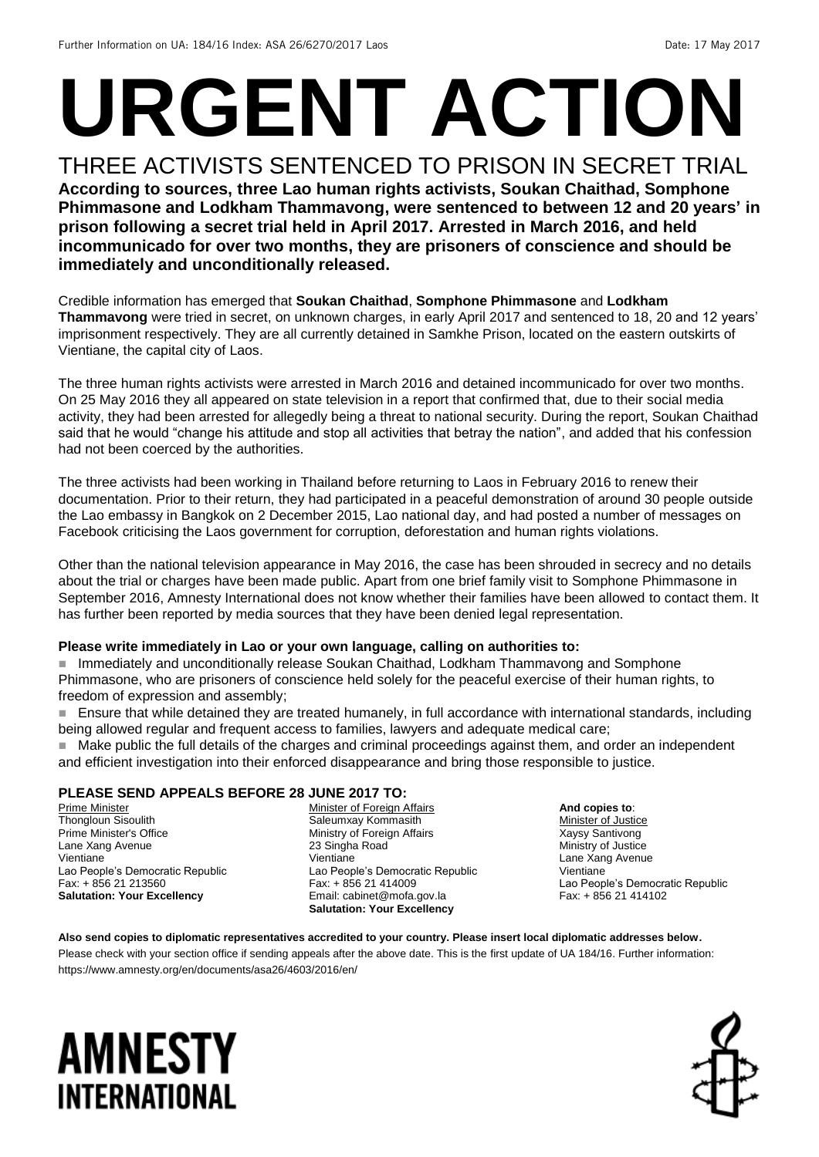# **URGENT ACTION**

THREE ACTIVISTS SENTENCED TO PRISON IN SECRET TRIAL **According to sources, three Lao human rights activists, Soukan Chaithad, Somphone Phimmasone and Lodkham Thammavong, were sentenced to between 12 and 20 years' in prison following a secret trial held in April 2017. Arrested in March 2016, and held incommunicado for over two months, they are prisoners of conscience and should be immediately and unconditionally released.**

Credible information has emerged that **Soukan Chaithad**, **Somphone Phimmasone** and **Lodkham Thammavong** were tried in secret, on unknown charges, in early April 2017 and sentenced to 18, 20 and 12 years' imprisonment respectively. They are all currently detained in Samkhe Prison, located on the eastern outskirts of Vientiane, the capital city of Laos.

The three human rights activists were arrested in March 2016 and detained incommunicado for over two months. On 25 May 2016 they all appeared on state television in a report that confirmed that, due to their social media activity, they had been arrested for allegedly being a threat to national security. During the report, Soukan Chaithad said that he would "change his attitude and stop all activities that betray the nation", and added that his confession had not been coerced by the authorities.

The three activists had been working in Thailand before returning to Laos in February 2016 to renew their documentation. Prior to their return, they had participated in a peaceful demonstration of around 30 people outside the Lao embassy in Bangkok on 2 December 2015, Lao national day, and had posted a number of messages on Facebook criticising the Laos government for corruption, deforestation and human rights violations.

Other than the national television appearance in May 2016, the case has been shrouded in secrecy and no details about the trial or charges have been made public. Apart from one brief family visit to Somphone Phimmasone in September 2016, Amnesty International does not know whether their families have been allowed to contact them. It has further been reported by media sources that they have been denied legal representation.

#### **Please write immediately in Lao or your own language, calling on authorities to:**

 Immediately and unconditionally release Soukan Chaithad, Lodkham Thammavong and Somphone Phimmasone, who are prisoners of conscience held solely for the peaceful exercise of their human rights, to freedom of expression and assembly;

 Ensure that while detained they are treated humanely, in full accordance with international standards, including being allowed regular and frequent access to families, lawyers and adequate medical care;

Make public the full details of the charges and criminal proceedings against them, and order an independent and efficient investigation into their enforced disappearance and bring those responsible to justice.

#### **PLEASE SEND APPEALS BEFORE 28 JUNE 2017 TO:**

Prime Minister Thongloun Sisoulith Prime Minister's Office Lane Xang Avenue Vientiane Lao People's Democratic Republic Fax: + 856 21 213560 **Salutation: Your Excellency**

Minister of Foreign Affairs Saleumxay Kommasith Ministry of Foreign Affairs 23 Singha Road Vientiane Lao People's Democratic Republic Fax: + 856 21 414009 Email: cabinet@mofa.gov.la **Salutation: Your Excellency**

**And copies to**: **Minister of Justice** Xaysy Santivong Ministry of Justice Lane Xang Avenue Vientiane Lao People's Democratic Republic Fax: + 856 21 414102

#### **Also send copies to diplomatic representatives accredited to your country. Please insert local diplomatic addresses below.**

Please check with your section office if sending appeals after the above date. This is the first update of UA 184/16. Further information: https://www.amnesty.org/en/documents/asa26/4603/2016/en/